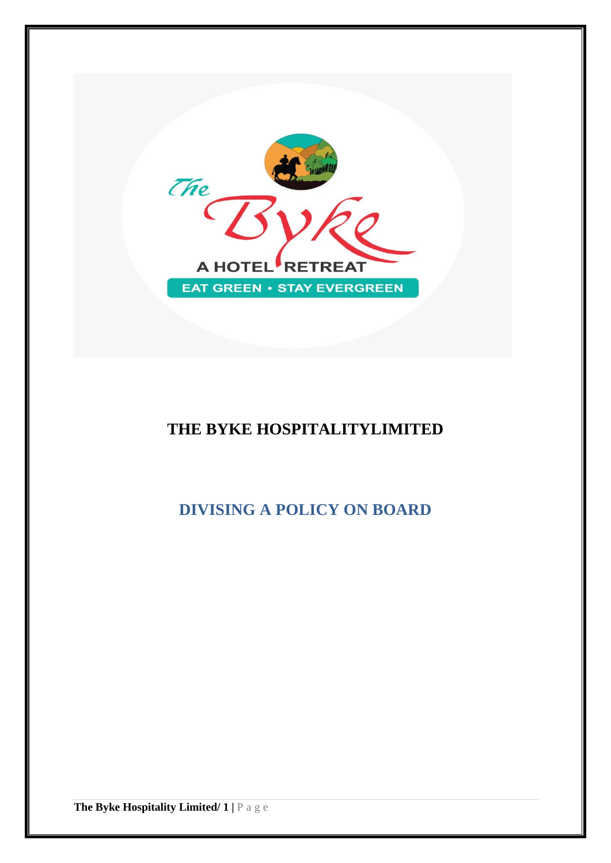

# **THE BYKE HOSPITALITYLIMITED**

**DIVISING A POLICY ON BOARD**

**The Byke Hospitality Limited/ 1 |** P a g e